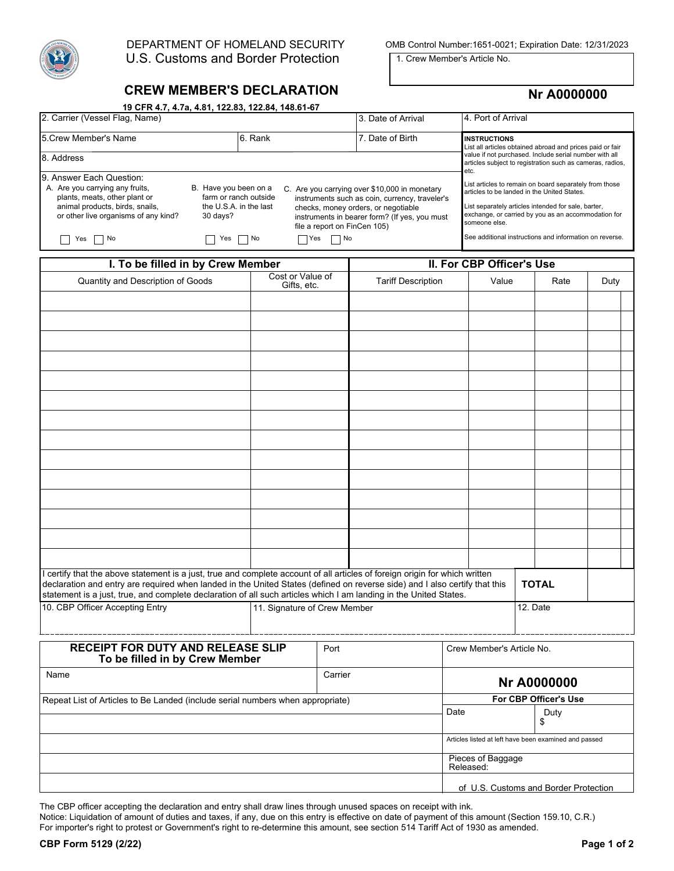

U.S. Customs and Border Protection

DEPARTMENT OF HOMELAND SECURITY OMB Control Number:1651-0021; Expiration Date: 12/31/2023

1. Crew Member's Article No.

## **CREW MEMBER'S DECLARATION**

 **19 CFR 4.7, 4.7a, 4.81, 122.83, 122.84, 148.61-67** 

## **Nr A0000000**

| 2. Carrier (Vessel Flag, Name)                                                                                                                                           |                                                                                                                             | 3. Date of Arrival           | 4. Port of Arrival                                                                                                                                                                      |                                                                                                                                                                                                                                      |  |  |
|--------------------------------------------------------------------------------------------------------------------------------------------------------------------------|-----------------------------------------------------------------------------------------------------------------------------|------------------------------|-----------------------------------------------------------------------------------------------------------------------------------------------------------------------------------------|--------------------------------------------------------------------------------------------------------------------------------------------------------------------------------------------------------------------------------------|--|--|
| 5. Crew Member's Name                                                                                                                                                    | 6. Rank                                                                                                                     |                              | 7. Date of Birth                                                                                                                                                                        | <b>INSTRUCTIONS</b><br>List all articles obtained abroad and prices paid or fair                                                                                                                                                     |  |  |
| 8. Address                                                                                                                                                               | value if not purchased. Include serial number with all<br>articles subject to registration such as cameras, radios,<br>etc. |                              |                                                                                                                                                                                         |                                                                                                                                                                                                                                      |  |  |
| 19. Answer Each Question:<br>A. Are you carrying any fruits,<br>plants, meats, other plant or<br>animal products, birds, snails,<br>or other live organisms of any kind? | B. Have you been on a<br>farm or ranch outside<br>the U.S.A. in the last<br>30 days?                                        | file a report on FinCen 105) | C. Are you carrying over \$10,000 in monetary<br>instruments such as coin, currency, traveler's<br>checks, money orders, or negotiable<br>instruments in bearer form? (If yes, you must | List articles to remain on board separately from those<br>articles to be landed in the United States.<br>List separately articles intended for sale, barter,<br>exchange, or carried by you as an accommodation for<br>someone else. |  |  |
| Yes<br>No                                                                                                                                                                | $\Box$ No<br>Yes                                                                                                            | ∏Yes<br>$\Box$ No            |                                                                                                                                                                                         | See additional instructions and information on reverse.                                                                                                                                                                              |  |  |

| I. To be filled in by Crew Member                                                                                                                                                                                                                                                                                                                                              |                                 |                              | II. For CBP Officer's Use |                   |                           |              |                                                       |      |  |  |
|--------------------------------------------------------------------------------------------------------------------------------------------------------------------------------------------------------------------------------------------------------------------------------------------------------------------------------------------------------------------------------|---------------------------------|------------------------------|---------------------------|-------------------|---------------------------|--------------|-------------------------------------------------------|------|--|--|
| Quantity and Description of Goods                                                                                                                                                                                                                                                                                                                                              | Cost or Value of<br>Gifts, etc. |                              | <b>Tariff Description</b> |                   | Value                     |              | Rate                                                  | Duty |  |  |
|                                                                                                                                                                                                                                                                                                                                                                                |                                 |                              |                           |                   |                           |              |                                                       |      |  |  |
|                                                                                                                                                                                                                                                                                                                                                                                |                                 |                              |                           |                   |                           |              |                                                       |      |  |  |
|                                                                                                                                                                                                                                                                                                                                                                                |                                 |                              |                           |                   |                           |              |                                                       |      |  |  |
|                                                                                                                                                                                                                                                                                                                                                                                |                                 |                              |                           |                   |                           |              |                                                       |      |  |  |
|                                                                                                                                                                                                                                                                                                                                                                                |                                 |                              |                           |                   |                           |              |                                                       |      |  |  |
|                                                                                                                                                                                                                                                                                                                                                                                |                                 |                              |                           |                   |                           |              |                                                       |      |  |  |
|                                                                                                                                                                                                                                                                                                                                                                                |                                 |                              |                           |                   |                           |              |                                                       |      |  |  |
|                                                                                                                                                                                                                                                                                                                                                                                |                                 |                              |                           |                   |                           |              |                                                       |      |  |  |
|                                                                                                                                                                                                                                                                                                                                                                                |                                 |                              |                           |                   |                           |              |                                                       |      |  |  |
|                                                                                                                                                                                                                                                                                                                                                                                |                                 |                              |                           |                   |                           |              |                                                       |      |  |  |
|                                                                                                                                                                                                                                                                                                                                                                                |                                 |                              |                           |                   |                           |              |                                                       |      |  |  |
|                                                                                                                                                                                                                                                                                                                                                                                |                                 |                              |                           |                   |                           |              |                                                       |      |  |  |
|                                                                                                                                                                                                                                                                                                                                                                                |                                 |                              |                           |                   |                           |              |                                                       |      |  |  |
|                                                                                                                                                                                                                                                                                                                                                                                |                                 |                              |                           |                   |                           |              |                                                       |      |  |  |
| I certify that the above statement is a just, true and complete account of all articles of foreign origin for which written<br>declaration and entry are required when landed in the United States (defined on reverse side) and I also certify that this<br>statement is a just, true, and complete declaration of all such articles which I am landing in the United States. |                                 |                              |                           |                   |                           | <b>TOTAL</b> |                                                       |      |  |  |
| 10. CBP Officer Accepting Entry                                                                                                                                                                                                                                                                                                                                                |                                 | 11. Signature of Crew Member |                           |                   |                           | 12. Date     |                                                       |      |  |  |
| RECEIPT FOR DUTY AND RELEASE SLIP<br>To be filled in by Crew Member                                                                                                                                                                                                                                                                                                            |                                 | Port                         |                           |                   | Crew Member's Article No. |              |                                                       |      |  |  |
| Name                                                                                                                                                                                                                                                                                                                                                                           |                                 |                              | Carrier                   |                   | <b>Nr A0000000</b>        |              |                                                       |      |  |  |
| Repeat List of Articles to Be Landed (include serial numbers when appropriate)                                                                                                                                                                                                                                                                                                 |                                 |                              |                           |                   | For CBP Officer's Use     |              |                                                       |      |  |  |
|                                                                                                                                                                                                                                                                                                                                                                                |                                 |                              |                           | Date              |                           |              | Duty<br>\$                                            |      |  |  |
|                                                                                                                                                                                                                                                                                                                                                                                |                                 |                              |                           |                   |                           |              | Articles listed at left have been examined and passed |      |  |  |
|                                                                                                                                                                                                                                                                                                                                                                                |                                 |                              |                           | Pieces of Baggage |                           |              |                                                       |      |  |  |

The CBP officer accepting the declaration and entry shall draw lines through unused spaces on receipt with ink.

Notice: Liquidation of amount of duties and taxes, if any, due on this entry is effective on date of payment of this amount (Section 159.10, C.R.) For importer's right to protest or Government's right to re-determine this amount, see section 514 Tariff Act of 1930 as amended.

Released:

of U.S. Customs and Border Protection